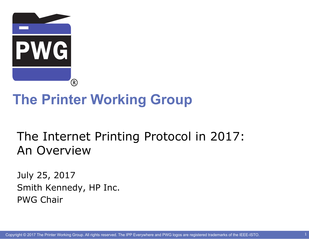

# **The Printer Working Group**

## The Internet Printing Protocol in 2017: An Overview

July 25, 2017 Smith Kennedy, HP Inc. PWG Chair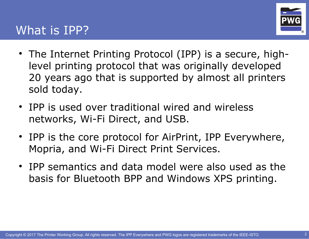#### What is IPP?



- The Internet Printing Protocol (IPP) is a secure, highlevel printing protocol that was originally developed 20 years ago that is supported by almost all printers sold today.
- IPP is used over traditional wired and wireless networks, Wi-Fi Direct, and USB.
- IPP is the core protocol for AirPrint, IPP Everywhere, Mopria, and Wi-Fi Direct Print Services.
- IPP semantics and data model were also used as the basis for Bluetooth BPP and Windows XPS printing.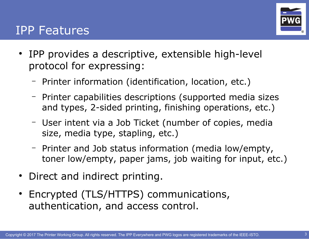

#### IPP Features

- IPP provides a descriptive, extensible high-level protocol for expressing:
	- Printer information (identification, location, etc.)
	- Printer capabilities descriptions (supported media sizes and types, 2-sided printing, finishing operations, etc.)
	- User intent via a Job Ticket (number of copies, media size, media type, stapling, etc.)
	- Printer and Job status information (media low/empty, toner low/empty, paper jams, job waiting for input, etc.)
- Direct and indirect printing.
- Encrypted (TLS/HTTPS) communications, authentication, and access control.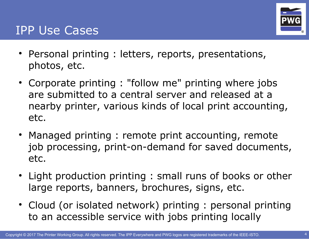

#### IPP Use Cases

- Personal printing : letters, reports, presentations, photos, etc.
- Corporate printing : "follow me" printing where jobs are submitted to a central server and released at a nearby printer, various kinds of local print accounting, etc.
- Managed printing : remote print accounting, remote job processing, print-on-demand for saved documents, etc.
- Light production printing : small runs of books or other large reports, banners, brochures, signs, etc.
- Cloud (or isolated network) printing : personal printing to an accessible service with jobs printing locally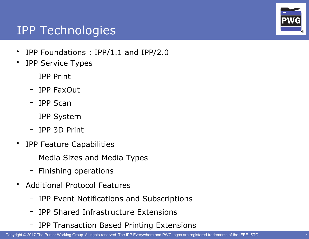

### IPP Technologies

- IPP Foundations : IPP/1.1 and IPP/2.0
- IPP Service Types
	- IPP Print
	- IPP FaxOut
	- IPP Scan
	- IPP System
	- IPP 3D Print
- IPP Feature Capabilities
	- Media Sizes and Media Types
	- Finishing operations
- Additional Protocol Features
	- IPP Event Notifications and Subscriptions
	- IPP Shared Infrastructure Extensions
	- IPP Transaction Based Printing Extensions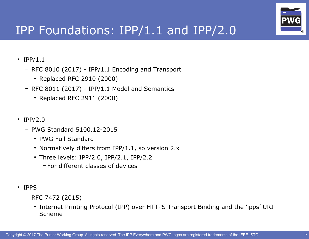

## IPP Foundations: IPP/1.1 and IPP/2.0

- IPP/1.1
	- RFC 8010 (2017) IPP/1.1 Encoding and Transport
		- Replaced RFC 2910 (2000)
	- $-$  RFC 8011 (2017) IPP/1.1 Model and Semantics
		- Replaced RFC 2911 (2000)
- IPP/2.0
	- PWG Standard 5100.12-2015
		- PWG Full Standard
		- Normatively differs from IPP/1.1, so version  $2.x$
		- $\cdot$  Three levels: IPP/2.0, IPP/2.1, IPP/2.2
			- For different classes of devices
- IPPS
	- RFC 7472 (2015)
		- Internet Printing Protocol (IPP) over HTTPS Transport Binding and the 'ipps' URI Scheme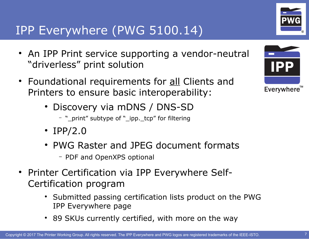Everywhere"

## IPP Everywhere (PWG 5100.14)

- An IPP Print service supporting a vendor-neutral "driverless" print solution
- Foundational requirements for all Clients and Printers to ensure basic interoperability:
	- Discovery via mDNS / DNS-SD
		- "\_print" subtype of "\_ipp.\_tcp" for filtering
	- IPP/2.0
	- PWG Raster and JPEG document formats
		- PDF and OpenXPS optional
- Printer Certification via IPP Everywhere Self-Certification program
	- Submitted passing certification lists product on the PWG IPP Everywhere page
	- 89 SKUs currently certified, with more on the way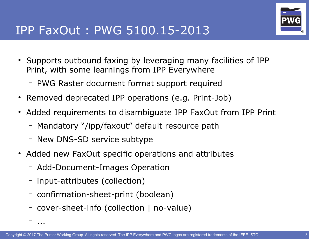

## IPP FaxOut : PWG 5100.15-2013

- Supports outbound faxing by leveraging many facilities of IPP Print, with some learnings from IPP Everywhere
	- PWG Raster document format support required
- Removed deprecated IPP operations (e.g. Print-Job)
- Added requirements to disambiguate IPP FaxOut from IPP Print
	- Mandatory "/ipp/faxout" default resource path
	- New DNS-SD service subtype
- Added new FaxOut specific operations and attributes
	- Add-Document-Images Operation
	- input-attributes (collection)

– ...

- confirmation-sheet-print (boolean)
- cover-sheet-info (collection | no-value)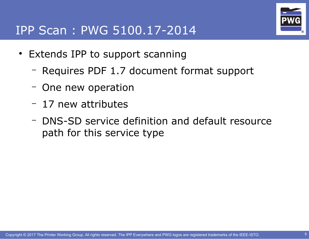#### IPP Scan : PWG 5100.17-2014



- Extends IPP to support scanning
	- Requires PDF 1.7 document format support
	- One new operation
	- 17 new attributes
	- DNS-SD service definition and default resource path for this service type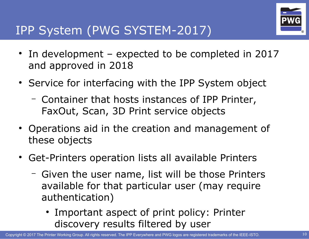

## IPP System (PWG SYSTEM-2017)

- $\cdot$  In development expected to be completed in 2017 and approved in 2018
- Service for interfacing with the IPP System object
	- Container that hosts instances of IPP Printer, FaxOut, Scan, 3D Print service objects
- Operations aid in the creation and management of these objects
- Get-Printers operation lists all available Printers
	- Given the user name, list will be those Printers available for that particular user (may require authentication)
		- Important aspect of print policy: Printer discovery results filtered by user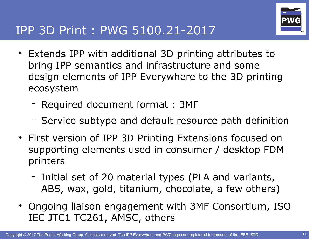

- Extends IPP with additional 3D printing attributes to bring IPP semantics and infrastructure and some design elements of IPP Everywhere to the 3D printing ecosystem
	- Required document format : 3MF
	- Service subtype and default resource path definition
- First version of IPP 3D Printing Extensions focused on supporting elements used in consumer / desktop FDM printers
	- Initial set of 20 material types (PLA and variants, ABS, wax, gold, titanium, chocolate, a few others)
- Ongoing liaison engagement with 3MF Consortium, ISO IEC JTC1 TC261, AMSC, others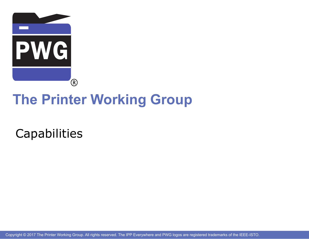

# **The Printer Working Group**

**Capabilities** 

Copyright © 2017 The Printer Working Group. All rights reserved. The IPP Everywhere and PWG logos are registered trademarks of the IEEE-ISTO.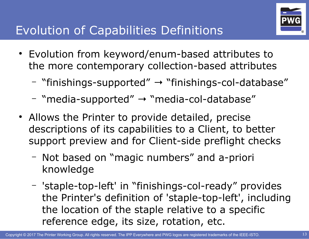

## Evolution of Capabilities Definitions

- Evolution from keyword/enum-based attributes to the more contemporary collection-based attributes
	- "finishings-supported"  $→$  "finishings-col-database"
	- "media-supported"  $\rightarrow$  "media-col-database"
- Allows the Printer to provide detailed, precise descriptions of its capabilities to a Client, to better support preview and for Client-side preflight checks
	- Not based on "magic numbers" and a-priori knowledge
	- 'staple-top-left' in "finishings-col-ready" provides the Printer's definition of 'staple-top-left', including the location of the staple relative to a specific reference edge, its size, rotation, etc.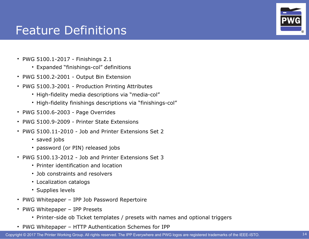#### Feature Definitions

- PWG 5100.1-2017 Finishings 2.1
	- Expanded "finishings-col" definitions
- PWG 5100.2-2001 Output Bin Extension
- PWG 5100.3-2001 Production Printing Attributes
	- High-fidelity media descriptions via "media-col"
	- High-fidelity finishings descriptions via "finishings-col"
- $\cdot$  PWG 5100.6-2003 Page Overrides
- PWG 5100.9-2009 Printer State Extensions
- PWG 5100.11-2010 Job and Printer Extensions Set 2
	- saved jobs
	- password (or PIN) released jobs
- PWG 5100.13-2012 Job and Printer Extensions Set 3
	- Printer identification and location
	- Job constraints and resolvers
	- Localization catalogs
	- Supplies levels
- PWG Whitepaper IPP Job Password Repertoire
- PWG Whitepaper IPP Presets
	- Printer-side ob Ticket templates / presets with names and optional triggers
- PWG Whitepaper HTTP Authentication Schemes for IPP

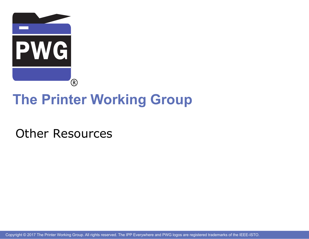

# **The Printer Working Group**

Other Resources

Copyright © 2017 The Printer Working Group. All rights reserved. The IPP Everywhere and PWG logos are registered trademarks of the IEEE-ISTO.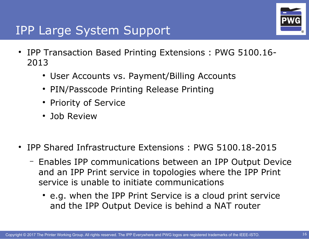

### IPP Large System Support

- IPP Transaction Based Printing Extensions : PWG 5100.16-2013
	- User Accounts vs. Payment/Billing Accounts
	- PIN/Passcode Printing Release Printing
	- Priority of Service
	- Job Review
- IPP Shared Infrastructure Extensions : PWG 5100.18-2015
	- Enables IPP communications between an IPP Output Device and an IPP Print service in topologies where the IPP Print service is unable to initiate communications
		- e.g. when the IPP Print Service is a cloud print service and the IPP Output Device is behind a NAT router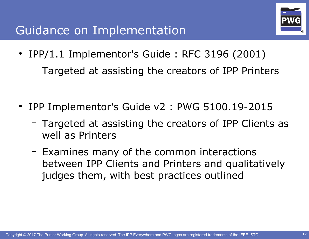## Guidance on Implementation



- IPP/1.1 Implementor's Guide: RFC 3196 (2001)
	- Targeted at assisting the creators of IPP Printers
- IPP Implementor's Guide v2 : PWG 5100.19-2015
	- Targeted at assisting the creators of IPP Clients as well as Printers
	- Examines many of the common interactions between IPP Clients and Printers and qualitatively judges them, with best practices outlined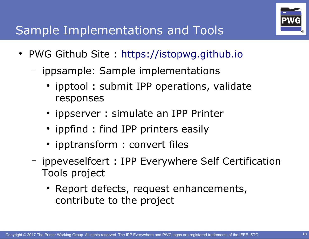

## Sample Implementations and Tools

- PWG Github Site: [https://istopwg.github.io](https://istopwg.github.io/)
	- ippsample: Sample implementations
		- ipptool: submit IPP operations, validate responses
		- ippserver : simulate an IPP Printer
		- ippfind: find IPP printers easily
		- ipptransform : convert files
	- ippeveselfcert : IPP Everywhere Self Certification Tools project
		- Report defects, request enhancements, contribute to the project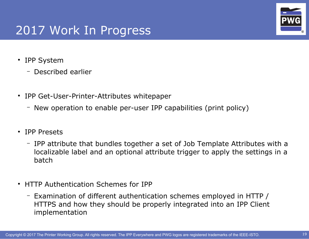### 2017 Work In Progress

- IPP System
	- Described earlier
- IPP Get-User-Printer-Attributes whitepaper
	- New operation to enable per-user IPP capabilities (print policy)
- IPP Presets
	- IPP attribute that bundles together a set of Job Template Attributes with a localizable label and an optional attribute trigger to apply the settings in a batch
- HTTP Authentication Schemes for IPP
	- Examination of different authentication schemes employed in HTTP / HTTPS and how they should be properly integrated into an IPP Client implementation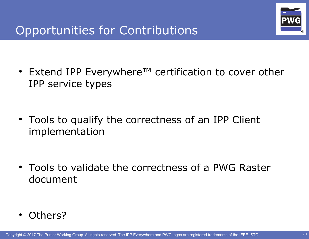

- Extend IPP Everywhere™ certification to cover other IPP service types
- Tools to qualify the correctness of an IPP Client implementation

• Tools to validate the correctness of a PWG Raster document

Others?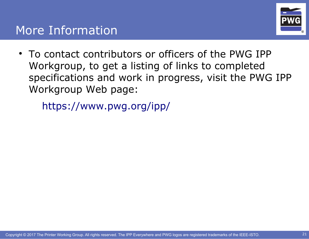

• To contact contributors or officers of the PWG IPP Workgroup, to get a listing of links to completed specifications and work in progress, visit the PWG IPP Workgroup Web page:

<https://www.pwg.org/ipp/>